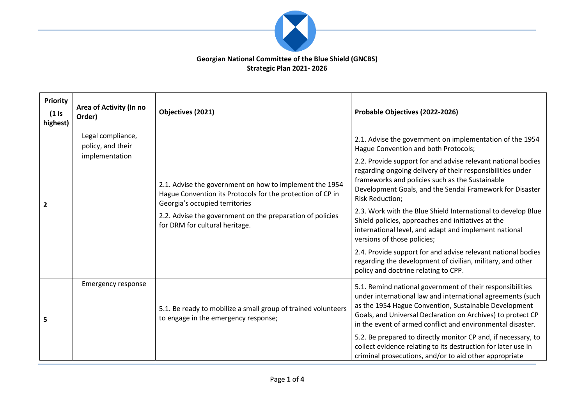

## **Georgian National Committee of the Blue Shield (GNCBS) Strategic Plan 2021- 2026**

| <b>Priority</b><br>$(1)$ is<br>highest) | Area of Activity (In no<br>Order)                        | Objectives (2021)                                                                                                                                                                                                                                      | Probable Objectives (2022-2026)                                                                                                                                                                                                                                                                                                                                                                                                                                                                                                                                                                                                                                                                                                                             |
|-----------------------------------------|----------------------------------------------------------|--------------------------------------------------------------------------------------------------------------------------------------------------------------------------------------------------------------------------------------------------------|-------------------------------------------------------------------------------------------------------------------------------------------------------------------------------------------------------------------------------------------------------------------------------------------------------------------------------------------------------------------------------------------------------------------------------------------------------------------------------------------------------------------------------------------------------------------------------------------------------------------------------------------------------------------------------------------------------------------------------------------------------------|
| $\overline{2}$                          | Legal compliance,<br>policy, and their<br>implementation | 2.1. Advise the government on how to implement the 1954<br>Hague Convention its Protocols for the protection of CP in<br>Georgia's occupied territories<br>2.2. Advise the government on the preparation of policies<br>for DRM for cultural heritage. | 2.1. Advise the government on implementation of the 1954<br>Hague Convention and both Protocols;<br>2.2. Provide support for and advise relevant national bodies<br>regarding ongoing delivery of their responsibilities under<br>frameworks and policies such as the Sustainable<br>Development Goals, and the Sendai Framework for Disaster<br><b>Risk Reduction;</b><br>2.3. Work with the Blue Shield International to develop Blue<br>Shield policies, approaches and initiatives at the<br>international level, and adapt and implement national<br>versions of those policies;<br>2.4. Provide support for and advise relevant national bodies<br>regarding the development of civilian, military, and other<br>policy and doctrine relating to CPP. |
| 5                                       | <b>Emergency response</b>                                | 5.1. Be ready to mobilize a small group of trained volunteers<br>to engage in the emergency response;                                                                                                                                                  | 5.1. Remind national government of their responsibilities<br>under international law and international agreements (such<br>as the 1954 Hague Convention, Sustainable Development<br>Goals, and Universal Declaration on Archives) to protect CP<br>in the event of armed conflict and environmental disaster.<br>5.2. Be prepared to directly monitor CP and, if necessary, to<br>collect evidence relating to its destruction for later use in<br>criminal prosecutions, and/or to aid other appropriate                                                                                                                                                                                                                                                   |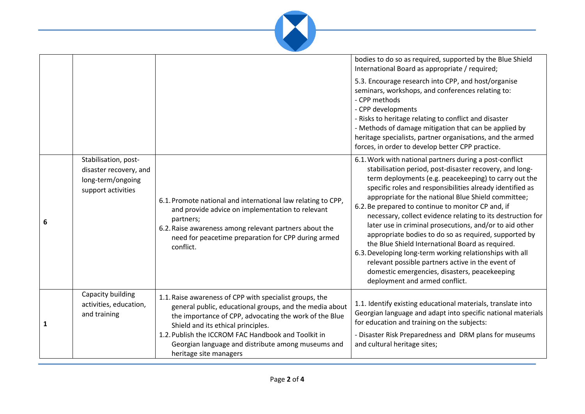

|              |                                                                                           |                                                                                                                                                                                                                                                                                                                                                           | bodies to do so as required, supported by the Blue Shield<br>International Board as appropriate / required;                                                                                                                                                                                                                                                                                                                                                                                                                                                                                                                                                                                                                                                                                      |
|--------------|-------------------------------------------------------------------------------------------|-----------------------------------------------------------------------------------------------------------------------------------------------------------------------------------------------------------------------------------------------------------------------------------------------------------------------------------------------------------|--------------------------------------------------------------------------------------------------------------------------------------------------------------------------------------------------------------------------------------------------------------------------------------------------------------------------------------------------------------------------------------------------------------------------------------------------------------------------------------------------------------------------------------------------------------------------------------------------------------------------------------------------------------------------------------------------------------------------------------------------------------------------------------------------|
|              |                                                                                           |                                                                                                                                                                                                                                                                                                                                                           | 5.3. Encourage research into CPP, and host/organise<br>seminars, workshops, and conferences relating to:<br>- CPP methods<br>- CPP developments<br>- Risks to heritage relating to conflict and disaster<br>- Methods of damage mitigation that can be applied by<br>heritage specialists, partner organisations, and the armed<br>forces, in order to develop better CPP practice.                                                                                                                                                                                                                                                                                                                                                                                                              |
| 6            | Stabilisation, post-<br>disaster recovery, and<br>long-term/ongoing<br>support activities | 6.1. Promote national and international law relating to CPP,<br>and provide advice on implementation to relevant<br>partners;<br>6.2. Raise awareness among relevant partners about the<br>need for peacetime preparation for CPP during armed<br>conflict.                                                                                               | 6.1. Work with national partners during a post-conflict<br>stabilisation period, post-disaster recovery, and long-<br>term deployments (e.g. peacekeeping) to carry out the<br>specific roles and responsibilities already identified as<br>appropriate for the national Blue Shield committee;<br>6.2. Be prepared to continue to monitor CP and, if<br>necessary, collect evidence relating to its destruction for<br>later use in criminal prosecutions, and/or to aid other<br>appropriate bodies to do so as required, supported by<br>the Blue Shield International Board as required.<br>6.3. Developing long-term working relationships with all<br>relevant possible partners active in the event of<br>domestic emergencies, disasters, peacekeeping<br>deployment and armed conflict. |
| $\mathbf{1}$ | Capacity building<br>activities, education,<br>and training                               | 1.1. Raise awareness of CPP with specialist groups, the<br>general public, educational groups, and the media about<br>the importance of CPP, advocating the work of the Blue<br>Shield and its ethical principles.<br>1.2. Publish the ICCROM FAC Handbook and Toolkit in<br>Georgian language and distribute among museums and<br>heritage site managers | 1.1. Identify existing educational materials, translate into<br>Georgian language and adapt into specific national materials<br>for education and training on the subjects:<br>- Disaster Risk Preparedness and DRM plans for museums<br>and cultural heritage sites;                                                                                                                                                                                                                                                                                                                                                                                                                                                                                                                            |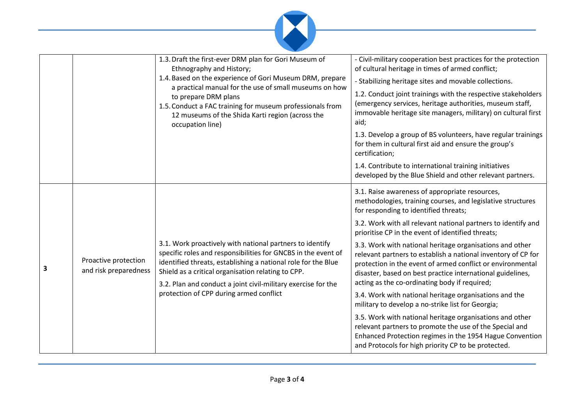

|   |                                               | 1.3. Draft the first-ever DRM plan for Gori Museum of<br>Ethnography and History;<br>1.4. Based on the experience of Gori Museum DRM, prepare<br>a practical manual for the use of small museums on how<br>to prepare DRM plans<br>1.5. Conduct a FAC training for museum professionals from<br>12 museums of the Shida Karti region (across the<br>occupation line) | - Civil-military cooperation best practices for the protection<br>of cultural heritage in times of armed conflict;<br>- Stabilizing heritage sites and movable collections.<br>1.2. Conduct joint trainings with the respective stakeholders<br>(emergency services, heritage authorities, museum staff,<br>immovable heritage site managers, military) on cultural first<br>aid;<br>1.3. Develop a group of BS volunteers, have regular trainings<br>for them in cultural first aid and ensure the group's<br>certification;<br>1.4. Contribute to international training initiatives<br>developed by the Blue Shield and other relevant partners.                                                                                                                                                                                                                                                                                             |
|---|-----------------------------------------------|----------------------------------------------------------------------------------------------------------------------------------------------------------------------------------------------------------------------------------------------------------------------------------------------------------------------------------------------------------------------|-------------------------------------------------------------------------------------------------------------------------------------------------------------------------------------------------------------------------------------------------------------------------------------------------------------------------------------------------------------------------------------------------------------------------------------------------------------------------------------------------------------------------------------------------------------------------------------------------------------------------------------------------------------------------------------------------------------------------------------------------------------------------------------------------------------------------------------------------------------------------------------------------------------------------------------------------|
| 3 | Proactive protection<br>and risk preparedness | 3.1. Work proactively with national partners to identify<br>specific roles and responsibilities for GNCBS in the event of<br>identified threats, establishing a national role for the Blue<br>Shield as a critical organisation relating to CPP.<br>3.2. Plan and conduct a joint civil-military exercise for the<br>protection of CPP during armed conflict         | 3.1. Raise awareness of appropriate resources,<br>methodologies, training courses, and legislative structures<br>for responding to identified threats;<br>3.2. Work with all relevant national partners to identify and<br>prioritise CP in the event of identified threats;<br>3.3. Work with national heritage organisations and other<br>relevant partners to establish a national inventory of CP for<br>protection in the event of armed conflict or environmental<br>disaster, based on best practice international guidelines,<br>acting as the co-ordinating body if required;<br>3.4. Work with national heritage organisations and the<br>military to develop a no-strike list for Georgia;<br>3.5. Work with national heritage organisations and other<br>relevant partners to promote the use of the Special and<br>Enhanced Protection regimes in the 1954 Hague Convention<br>and Protocols for high priority CP to be protected. |